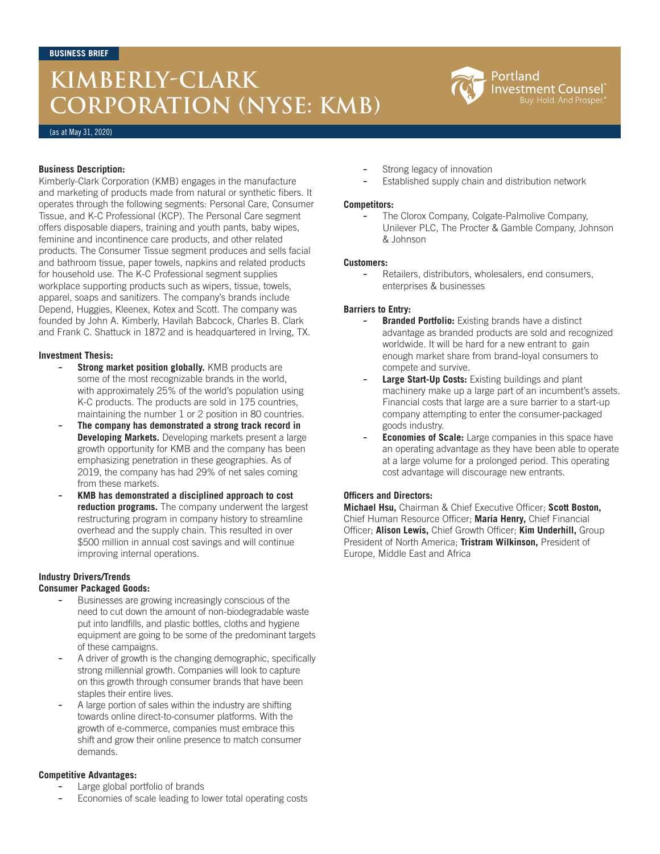# **KIMBERLY-CLARK CORPORATION (NYSE: KMB)**



(as at May 31, 2020)

#### **Business Description:**

Kimberly-Clark Corporation (KMB) engages in the manufacture and marketing of products made from natural or synthetic fibers. It operates through the following segments: Personal Care, Consumer Tissue, and K-C Professional (KCP). The Personal Care segment offers disposable diapers, training and youth pants, baby wipes, feminine and incontinence care products, and other related products. The Consumer Tissue segment produces and sells facial and bathroom tissue, paper towels, napkins and related products for household use. The K-C Professional segment supplies workplace supporting products such as wipers, tissue, towels, apparel, soaps and sanitizers. The company's brands include Depend, Huggies, Kleenex, Kotex and Scott. The company was founded by John A. Kimberly, Havilah Babcock, Charles B. Clark and Frank C. Shattuck in 1872 and is headquartered in Irving, TX.

#### **Investment Thesis:**

- **Strong market position globally.** KMB products are some of the most recognizable brands in the world, with approximately 25% of the world's population using K-C products. The products are sold in 175 countries, maintaining the number 1 or 2 position in 80 countries.
- The company has demonstrated a strong track record in **Developing Markets.** Developing markets present a large growth opportunity for KMB and the company has been emphasizing penetration in these geographies. As of 2019, the company has had 29% of net sales coming from these markets.
- **KMB has demonstrated a disciplined approach to cost reduction programs.** The company underwent the largest restructuring program in company history to streamline overhead and the supply chain. This resulted in over \$500 million in annual cost savings and will continue improving internal operations.

## **Industry Drivers/Trends**

### **Consumer Packaged Goods:**

- Businesses are growing increasingly conscious of the need to cut down the amount of non-biodegradable waste put into landfills, and plastic bottles, cloths and hygiene equipment are going to be some of the predominant targets of these campaigns.
- A driver of growth is the changing demographic, specifically strong millennial growth. Companies will look to capture on this growth through consumer brands that have been staples their entire lives.
- A large portion of sales within the industry are shifting towards online direct-to-consumer platforms. With the growth of e-commerce, companies must embrace this shift and grow their online presence to match consumer demands.

## **Competitive Advantages:**

- Large global portfolio of brands
- Economies of scale leading to lower total operating costs
- Strong legacy of innovation
- Established supply chain and distribution network

#### **Competitors:**

The Clorox Company, Colgate-Palmolive Company, Unilever PLC, The Procter & Gamble Company, Johnson & Johnson

#### **Customers:**

Retailers, distributors, wholesalers, end consumers, enterprises & businesses

## **Barriers to Entry:**

- **Branded Portfolio:** Existing brands have a distinct advantage as branded products are sold and recognized worldwide. It will be hard for a new entrant to gain enough market share from brand-loyal consumers to compete and survive.
- Large Start-Up Costs: Existing buildings and plant machinery make up a large part of an incumbent's assets. Financial costs that large are a sure barrier to a start-up company attempting to enter the consumer-packaged goods industry.
- **Economies of Scale:** Large companies in this space have an operating advantage as they have been able to operate at a large volume for a prolonged period. This operating cost advantage will discourage new entrants.

## **Officers and Directors:**

**Michael Hsu,** Chairman & Chief Executive Officer; **Scott Boston,**  Chief Human Resource Officer; **Maria Henry,** Chief Financial Officer; **Alison Lewis,** Chief Growth Officer; **Kim Underhill,** Group President of North America; **Tristram Wilkinson,** President of Europe, Middle East and Africa